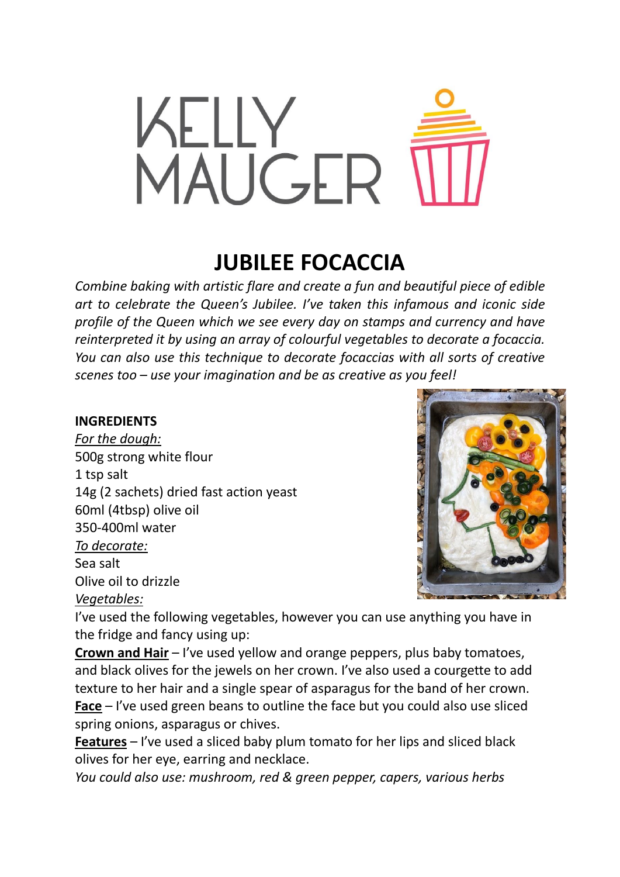

## **JUBILEE FOCACCIA**

*Combine baking with artistic flare and create a fun and beautiful piece of edible art to celebrate the Queen's Jubilee. I've taken this infamous and iconic side profile of the Queen which we see every day on stamps and currency and have reinterpreted it by using an array of colourful vegetables to decorate a focaccia. You can also use this technique to decorate focaccias with all sorts of creative scenes too – use your imagination and be as creative as you feel!*

## **INGREDIENTS**

*For the dough:* 500g strong white flour 1 tsp salt 14g (2 sachets) dried fast action yeast 60ml (4tbsp) olive oil 350-400ml water *To decorate:* Sea salt Olive oil to drizzle *Vegetables:*



I've used the following vegetables, however you can use anything you have in the fridge and fancy using up:

**Crown and Hair** – I've used yellow and orange peppers, plus baby tomatoes, and black olives for the jewels on her crown. I've also used a courgette to add texture to her hair and a single spear of asparagus for the band of her crown. **Face** – I've used green beans to outline the face but you could also use sliced spring onions, asparagus or chives.

**Features** – I've used a sliced baby plum tomato for her lips and sliced black olives for her eye, earring and necklace.

*You could also use: mushroom, red & green pepper, capers, various herbs*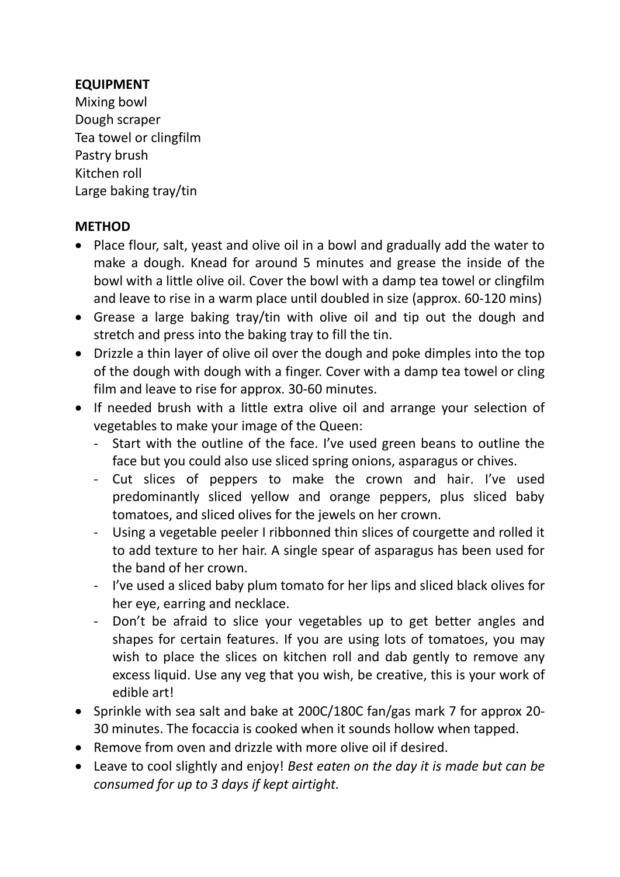## **EQUIPMENT**

Mixing bowl Dough scraper Tea towel or clingfilm Pastry brush Kitchen roll Large baking tray/tin

## **METHOD**

- Place flour, salt, yeast and olive oil in a bowl and gradually add the water to make a dough. Knead for around 5 minutes and grease the inside of the bowl with a little olive oil. Cover the bowl with a damp tea towel or clingfilm and leave to rise in a warm place until doubled in size (approx. 60-120 mins)
- Grease a large baking tray/tin with olive oil and tip out the dough and stretch and press into the baking tray to fill the tin.
- Drizzle a thin layer of olive oil over the dough and poke dimples into the top of the dough with dough with a finger. Cover with a damp tea towel or cling film and leave to rise for approx. 30-60 minutes.
- If needed brush with a little extra olive oil and arrange your selection of vegetables to make your image of the Queen:
	- Start with the outline of the face. I've used green beans to outline the face but you could also use sliced spring onions, asparagus or chives.
	- Cut slices of peppers to make the crown and hair. I've used predominantly sliced yellow and orange peppers, plus sliced baby tomatoes, and sliced olives for the jewels on her crown.
	- Using a vegetable peeler I ribbonned thin slices of courgette and rolled it to add texture to her hair. A single spear of asparagus has been used for the band of her crown.
	- I've used a sliced baby plum tomato for her lips and sliced black olives for her eye, earring and necklace.
	- Don't be afraid to slice your vegetables up to get better angles and shapes for certain features. If you are using lots of tomatoes, you may wish to place the slices on kitchen roll and dab gently to remove any excess liquid. Use any veg that you wish, be creative, this is your work of edible art!
- Sprinkle with sea salt and bake at 200C/180C fan/gas mark 7 for approx 20-30 minutes. The focaccia is cooked when it sounds hollow when tapped.
- Remove from oven and drizzle with more olive oil if desired.
- Leave to cool slightly and enjoy! *Best eaten on the day it is made but can be consumed for up to 3 days if kept airtight.*